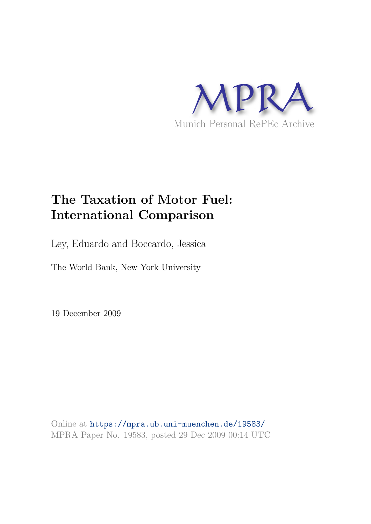

# **The Taxation of Motor Fuel: International Comparison**

Ley, Eduardo and Boccardo, Jessica

The World Bank, New York University

19 December 2009

Online at https://mpra.ub.uni-muenchen.de/19583/ MPRA Paper No. 19583, posted 29 Dec 2009 00:14 UTC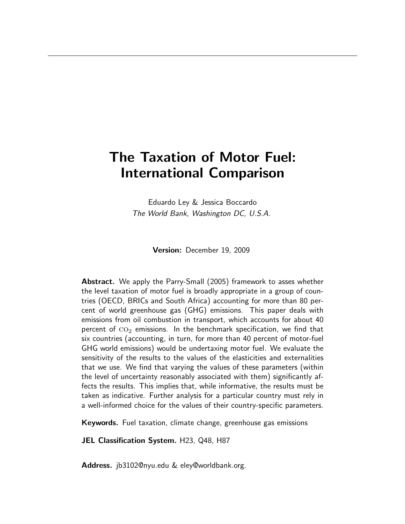# The Taxation of Motor Fuel: International Comparison

Eduardo Ley & Jessica Boccardo The World Bank, Washington DC, U.S.A.

Version: December 19, 2009

Abstract. We apply the Parry-Small (2005) framework to asses whether the level taxation of motor fuel is broadly appropriate in a group of countries (OECD, BRICs and South Africa) accounting for more than 80 percent of world greenhouse gas (GHG) emissions. This paper deals with emissions from oil combustion in transport, which accounts for about 40 percent of  $CO<sub>2</sub>$  emissions. In the benchmark specification, we find that six countries (accounting, in turn, for more than 40 percent of motor-fuel GHG world emissions) would be undertaxing motor fuel. We evaluate the sensitivity of the results to the values of the elasticities and externalities that we use. We find that varying the values of these parameters (within the level of uncertainty reasonably associated with them) significantly affects the results. This implies that, while informative, the results must be taken as indicative. Further analysis for a particular country must rely in a well-informed choice for the values of their country-specific parameters.

Keywords. Fuel taxation, climate change, greenhouse gas emissions

JEL Classification System. H23, Q48, H87

Address. jb3102@nyu.edu & eley@worldbank.org.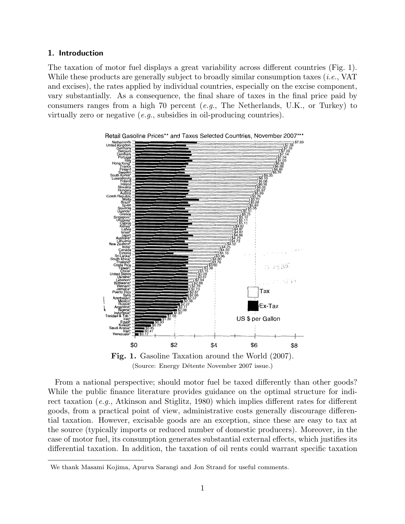#### 1. Introduction

The taxation of motor fuel displays a great variability across different countries (Fig. 1). While these products are generally subject to broadly similar consumption taxes (*i.e.*, VAT and excises), the rates applied by individual countries, especially on the excise component, vary substantially. As a consequence, the final share of taxes in the final price paid by consumers ranges from a high 70 percent  $(e.g.,$  The Netherlands, U.K., or Turkey) to virtually zero or negative  $(e.g.,$  subsidies in oil-producing countries).



**Fig. 1.** Gasoline Taxation around the World  $(2007)$ . **Trllby** Lundberg: Publisher (Source: Energy Détente November 2007 issue.)

From a national perspective; should motor fuel be taxed differently than other goods? While the public finance literature provides guidance on the optimal structure for indirect taxation (e.g., Atkinson and Stiglitz, 1980) which implies different rates for different goods, from a practical point of view, administrative costs generally discourage differential taxation. However, excisable goods are an exception, since these are easy to tax at the source (typically imports or reduced number of domestic producers). Moreover, in the case of motor fuel, its consumption generates substantial external effects, which justifies its differential taxation. In addition, the taxation of oil rents could warrant specific taxation

We thank Masami Kojima, Apurva Sarangi and Jon Strand for useful comments.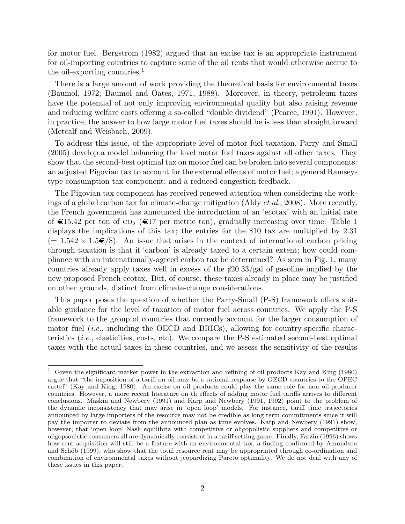for motor fuel. Bergstrom (1982) argued that an excise tax is an appropriate instrument for oil-importing countries to capture some of the oil rents that would otherwise accrue to the oil-exporting countries.<sup>1</sup>

There is a large amount of work providing the theoretical basis for environmental taxes (Baumol, 1972; Baumol and Oates, 1971, 1988). Moreover, in theory, petroleum taxes have the potential of not only improving environmental quality but also raising revenue and reducing welfare costs offering a so-called "double dividend" (Pearce, 1991). However, in practice, the answer to how large motor fuel taxes should be is less than straightforward (Metcalf and Weisbach, 2009).

To address this issue, of the appropriate level of motor fuel taxation, Parry and Small (2005) develop a model balancing the level motor fuel taxes against all other taxes. They show that the second-best optimal tax on motor fuel can be broken into several components: an adjusted Pigovian tax to account for the external effects of motor fuel; a general Ramseytype consumption tax component; and a reduced-congestion feedback.

The Pigovian tax component has received renewed attention when considering the workings of a global carbon tax for climate-change mitigation (Aldy et al., 2008). More recently, the French government has announced the introduction of an 'ecotax' with an initial rate of  $\epsilon$ 15.42 per ton of CO<sub>2</sub> ( $\epsilon$ 17 per metric ton), gradually increasing over time. Table 1 displays the implications of this tax; the entries for the \$10 tax are multiplied by 2.31  $(= 1.542 \times 1.5 \in \mathcal{S})$ . An issue that arises in the context of international carbon pricing through taxation is that if 'carbon' is already taxed to a certain extent; how could compliance with an internationally-agreed carbon tax be determined? As seen in Fig. 1, many countries already apply taxes well in excess of the  $\ell$ 20.33/gal of gasoline implied by the new proposed French ecotax. But, of course, these taxes already in place may be justified on other grounds, distinct from climate-change considerations.

This paper poses the question of whether the Parry-Small (P-S) framework offers suitable guidance for the level of taxation of motor fuel across countries. We apply the P-S framework to the group of countries that currently account for the larger consumption of motor fuel (i.e., including the OECD and BRICs), allowing for country-specific characteristics (i.e., elasticities, costs, etc). We compare the P-S estimated second-best optimal taxes with the actual taxes in these countries, and we assess the sensitivity of the results

<sup>&</sup>lt;sup>1</sup> Given the significant market power in the extraction and refining of oil products Kay and King (1980) argue that "the imposition of a tariff on oil may be a rational response by OECD countries to the OPEC cartel" (Kay and King, 1980). An excise on oil products could play the same role for non oil-producer countries. However, a more recent literature on th effects of adding motor fuel tariffs arrives to different conclusions. Maskin and Newbery (1991) and Karp and Newbery (1991, 1992) point to the problem of the dynamic inconsistency that may arise in 'open loop' models. For instance, tariff time trajectories announced by large importers of the resource may not be credible as long term commitments since it will pay the importer to deviate from the announced plan as time evolves. Karp and Newbery (1991) show, however, that 'open loop' Nash equilibria with competitive or oligopolistic suppliers and competitive or oligopsonistic consumers all are dynamically consistent in a tariff setting game. Finally, Farzin (1996) shows how rent acquisition will still be a feature with an environmental tax, a finding confirmed by Amundsen and Schöb (1999), who show that the total resource rent may be appropriated through co-ordination and combination of environmental taxes without jeopardizing Pareto optimality. We do not deal with any of these issues in this paper.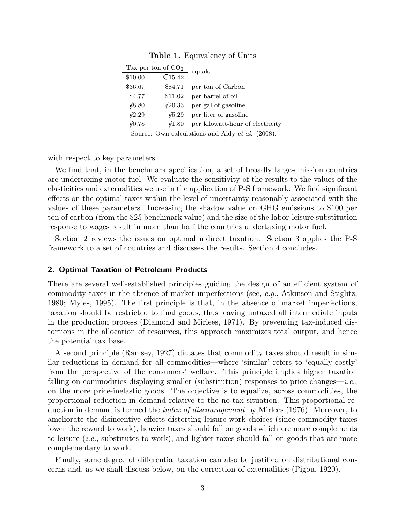|         | Tax per ton of $CO2$ | equals:                          |  |  |  |  |  |
|---------|----------------------|----------------------------------|--|--|--|--|--|
| \$10.00 | €15.42               |                                  |  |  |  |  |  |
| \$36.67 | \$84.71              | per ton of Carbon                |  |  |  |  |  |
| \$4.77  | \$11.02              | per barrel of oil                |  |  |  |  |  |
| 6,80    | 620.33               | per gal of gasoline              |  |  |  |  |  |
| 62.29   | $\sqrt{5.29}$        | per liter of gasoline            |  |  |  |  |  |
| 60.78   | $\ell$ 1.80          | per kilowatt-hour of electricity |  |  |  |  |  |

Table 1. Equivalency of Units

Source: Own calculations and Aldy *et al.* (2008).

with respect to key parameters.

We find that, in the benchmark specification, a set of broadly large-emission countries are undertaxing motor fuel. We evaluate the sensitivity of the results to the values of the elasticities and externalities we use in the application of P-S framework. We find significant effects on the optimal taxes within the level of uncertainty reasonably associated with the values of these parameters. Increasing the shadow value on GHG emissions to \$100 per ton of carbon (from the \$25 benchmark value) and the size of the labor-leisure substitution response to wages result in more than half the countries undertaxing motor fuel.

Section 2 reviews the issues on optimal indirect taxation. Section 3 applies the P-S framework to a set of countries and discusses the results. Section 4 concludes.

#### 2. Optimal Taxation of Petroleum Products

There are several well-established principles guiding the design of an efficient system of commodity taxes in the absence of market imperfections (see, e.g., Atkinson and Stiglitz, 1980; Myles, 1995). The first principle is that, in the absence of market imperfections, taxation should be restricted to final goods, thus leaving untaxed all intermediate inputs in the production process (Diamond and Mirlees, 1971). By preventing tax-induced distortions in the allocation of resources, this approach maximizes total output, and hence the potential tax base.

A second principle (Ramsey, 1927) dictates that commodity taxes should result in similar reductions in demand for all commodities—where 'similar' refers to 'equally-costly' from the perspective of the consumers' welfare. This principle implies higher taxation falling on commodities displaying smaller (substitution) responses to price changes—i.e., on the more price-inelastic goods. The objective is to equalize, across commodities, the proportional reduction in demand relative to the no-tax situation. This proportional reduction in demand is termed the index of discouragement by Mirlees (1976). Moreover, to ameliorate the disincentive effects distorting leisure-work choices (since commodity taxes lower the reward to work), heavier taxes should fall on goods which are more complements to leisure (i.e., substitutes to work), and lighter taxes should fall on goods that are more complementary to work.

Finally, some degree of differential taxation can also be justified on distributional concerns and, as we shall discuss below, on the correction of externalities (Pigou, 1920).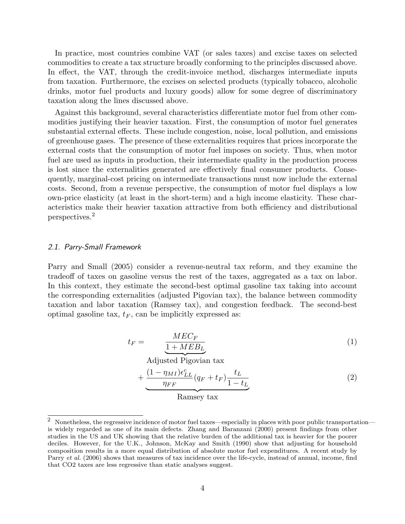In practice, most countries combine VAT (or sales taxes) and excise taxes on selected commodities to create a tax structure broadly conforming to the principles discussed above. In effect, the VAT, through the credit-invoice method, discharges intermediate inputs from taxation. Furthermore, the excises on selected products (typically tobacco, alcoholic drinks, motor fuel products and luxury goods) allow for some degree of discriminatory taxation along the lines discussed above.

Against this background, several characteristics differentiate motor fuel from other commodities justifying their heavier taxation. First, the consumption of motor fuel generates substantial external effects. These include congestion, noise, local pollution, and emissions of greenhouse gases. The presence of these externalities requires that prices incorporate the external costs that the consumption of motor fuel imposes on society. Thus, when motor fuel are used as inputs in production, their intermediate quality in the production process is lost since the externalities generated are effectively final consumer products. Consequently, marginal-cost pricing on intermediate transactions must now include the external costs. Second, from a revenue perspective, the consumption of motor fuel displays a low own-price elasticity (at least in the short-term) and a high income elasticity. These characteristics make their heavier taxation attractive from both efficiency and distributional perspectives.<sup>2</sup>

#### 2.1. Parry-Small Framework

Parry and Small (2005) consider a revenue-neutral tax reform, and they examine the tradeoff of taxes on gasoline versus the rest of the taxes, aggregated as a tax on labor. In this context, they estimate the second-best optimal gasoline tax taking into account the corresponding externalities (adjusted Pigovian tax), the balance between commodity taxation and labor taxation (Ramsey tax), and congestion feedback. The second-best optimal gasoline tax,  $t_F$ , can be implicitly expressed as:

$$
t_F = \frac{MEC_F}{\underbrace{1 + MEB_L}} \tag{1}
$$

Adjusted Pigovian tax

$$
+\underbrace{\frac{(1-\eta_{MI})\epsilon_{LL}^c}{\eta_{FF}}(q_F+t_F)\frac{t_L}{1-t_L}}_{\text{Ramsey tax}}\tag{2}
$$

<sup>&</sup>lt;sup>2</sup> Nonetheless, the regressive incidence of motor fuel taxes—especially in places with poor public transportation is widely regarded as one of its main defects. Zhang and Baranzani (2000) present findings from other studies in the US and UK showing that the relative burden of the additional tax is heavier for the poorer deciles. However, for the U.K., Johnson, McKay and Smith (1990) show that adjusting for household composition results in a more equal distribution of absolute motor fuel expenditures. A recent study by Parry *et al.* (2006) shows that measures of tax incidence over the life-cycle, instead of annual, income, find that CO2 taxes are less regressive than static analyses suggest.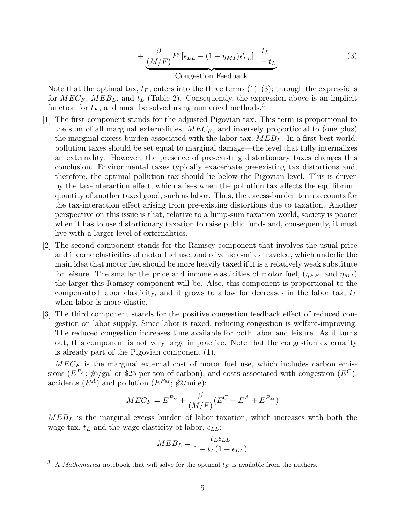$$
+\underbrace{\frac{\beta}{(M/F)}E^{c}[\epsilon_{LL}-(1-\eta_{MI})\epsilon_{LL}^{c}]}_{1-t_L}\frac{t_L}{1-t_L}
$$
\n(3)

## Congestion Feedback

Note that the optimal tax,  $t_F$ , enters into the three terms (1)–(3); through the expressions for  $MEC_F$ ,  $MEB_L$ , and  $t_L$  (Table 2). Consequently, the expression above is an implicit function for  $t_F$ , and must be solved using numerical methods.<sup>3</sup>

- [1] The first component stands for the adjusted Pigovian tax. This term is proportional to the sum of all marginal externalities,  $MEC_F$ , and inversely proportional to (one plus) the marginal excess burden associated with the labor tax,  $MEB<sub>L</sub>$ . In a first-best world, pollution taxes should be set equal to marginal damage—the level that fully internalizes an externality. However, the presence of pre-existing distortionary taxes changes this conclusion. Environmental taxes typically exacerbate pre-existing tax distortions and, therefore, the optimal pollution tax should lie below the Pigovian level. This is driven by the tax-interaction effect, which arises when the pollution tax affects the equilibrium quantity of another taxed good, such as labor. Thus, the excess-burden term accounts for the tax-interaction effect arising from pre-existing distortions due to taxation. Another perspective on this issue is that, relative to a lump-sum taxation world, society is poorer when it has to use distortionary taxation to raise public funds and, consequently, it must live with a larger level of externalities.
- [2] The second component stands for the Ramsey component that involves the usual price and income elasticities of motor fuel use, and of vehicle-miles traveled, which underlie the main idea that motor fuel should be more heavily taxed if it is a relatively weak substitute for leisure. The smaller the price and income elasticities of motor fuel,  $(\eta_{FF}, \text{ and } \eta_{MI})$ the larger this Ramsey component will be. Also, this component is proportional to the compensated labor elasticity, and it grows to allow for decreases in the labor tax,  $t_L$ when labor is more elastic.
- [3] The third component stands for the positive congestion feedback effect of reduced congestion on labor supply. Since labor is taxed, reducing congestion is welfare-improving. The reduced congestion increases time available for both labor and leisure. As it turns out, this component is not very large in practice. Note that the congestion externality is already part of the Pigovian component (1).

 $MEC_F$  is the marginal external cost of motor fuel use, which includes carbon emissions  $(E^{P_F}; \phi \mathcal{O}/\text{gal or } $25 \text{ per ton of carbon})$ , and costs associated with congestion  $(E^C)$ , accidents  $(E^A)$  and pollution  $(E^{P_M}; \phi_2/\text{mile})$ :

$$
MEC_F = E^{P_F} + \frac{\beta}{(M/F)}(E^C + E^A + E^{P_M})
$$

 $MEB<sub>L</sub>$  is the marginal excess burden of labor taxation, which increases with both the wage tax,  $t_L$  and the wage elasticity of labor,  $\epsilon_{LL}$ :

$$
MED_L = \frac{t_L \epsilon_{LL}}{1 - t_L (1 + \epsilon_{LL})}
$$

 $\overline{3}$  A *Mathematica* notebook that will solve for the optimal  $t_F$  is available from the authors.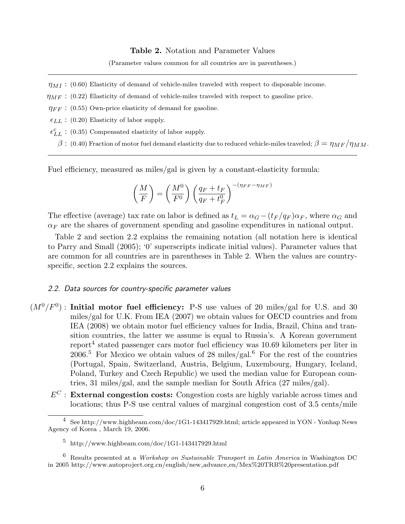Table 2. Notation and Parameter Values

(Parameter values common for all countries are in parentheses.)

- $\eta_{MI}$ : (0.60) Elasticity of demand of vehicle-miles traveled with respect to disposable income.
- $\eta_{MF}$ : (0.22) Elasticity of demand of vehicle-miles traveled with respect to gasoline price.
- $\eta_{FF}$ : (0.55) Own-price elasticity of demand for gasoline.
- $\epsilon_{LL}$ : (0.20) Elasticity of labor supply.
- $\epsilon_{LL}^c$  : (0.35) Compensated elasticity of labor supply.
	- β : (0.40) Fraction of motor fuel demand elasticity due to reduced vehicle-miles traveled;  $\beta = \eta_{MF}/\eta_{MN}$ .

Fuel efficiency, measured as miles/gal is given by a constant-elasticity formula:

$$
\left(\frac{M}{F}\right) = \left(\frac{M^0}{F^0}\right) \left(\frac{q_F + t_F}{q_F + t_F^0}\right)^{-(\eta_{FF} - \eta_{MF})}
$$

The effective (average) tax rate on labor is defined as  $t_L = \alpha_G - (t_F / q_F) \alpha_F$ , where  $\alpha_G$  and  $\alpha_F$  are the shares of government spending and gasoline expenditures in national output.

Table 2 and section 2.2 explains the remaining notation (all notation here is identical to Parry and Small (2005); '0' superscripts indicate initial values). Parameter values that are common for all countries are in parentheses in Table 2. When the values are countryspecific, section 2.2 explains the sources.

#### 2.2. Data sources for country-specific parameter values

- $(M^0/F^0)$ : Initial motor fuel efficiency: P-S use values of 20 miles/gal for U.S. and 30 miles/gal for U.K. From IEA (2007) we obtain values for OECD countries and from IEA (2008) we obtain motor fuel efficiency values for India, Brazil, China and transition countries, the latter we assume is equal to Russia's. A Korean government report<sup>4</sup> stated passenger cars motor fuel efficiency was 10.69 kilometers per liter in  $2006<sup>5</sup>$  For Mexico we obtain values of 28 miles/gal.<sup>6</sup> For the rest of the countries (Portugal, Spain, Switzerland, Austria, Belgium, Luxembourg, Hungary, Iceland, Poland, Turkey and Czech Republic) we used the median value for European countries, 31 miles/gal, and the sample median for South Africa (27 miles/gal).
	- $E^C$ : **External congestion costs:** Congestion costs are highly variable across times and locations; thus P-S use central values of marginal congestion cost of 3.5 cents/mile

<sup>4</sup> See http://www.highbeam.com/doc/1G1-143417929.html; article appeared in YON - Yonhap News Agency of Korea , March 19, 2006.

 $5$  http://www.highbeam.com/doc/1G1-143417929.html

 $6$  Results presented at a *Workshop on Sustainable Transport in Latin America* in Washington DC in 2005 http://www.autoproject.org.cn/english/new advance en/Mex%20TRB%20presentation.pdf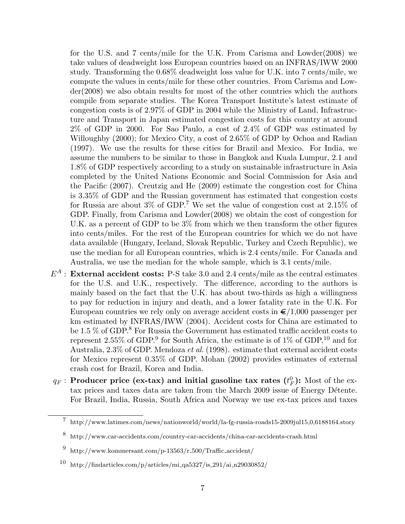for the U.S. and 7 cents/mile for the U.K. From Carisma and Lowder(2008) we take values of deadweight loss European countries based on an INFRAS/IWW 2000 study. Transforming the 0.68% deadweight loss value for U.K. into 7 cents/mile, we compute the values in cents/mile for these other countries. From Carisma and Lowder(2008) we also obtain results for most of the other countries which the authors compile from separate studies. The Korea Transport Institute's latest estimate of congestion costs is of 2.97% of GDP in 2004 while the Ministry of Land, Infrastructure and Transport in Japan estimated congestion costs for this country at around 2% of GDP in 2000. For Sao Paulo, a cost of 2.4% of GDP was estimated by Willoughby (2000); for Mexico City, a cost of 2.65% of GDP by Ochoa and Radian (1997). We use the results for these cities for Brazil and Mexico. For India, we assume the numbers to be similar to those in Bangkok and Kuala Lumpur, 2.1 and 1.8% of GDP respectively according to a study on sustainable infrastructure in Asia completed by the United Nations Economic and Social Commission for Asia and the Pacific (2007). Creutzig and He (2009) estimate the congestion cost for China is 3.35% of GDP and the Russian government has estimated that congestion costs for Russia are about  $3\%$  of GDP.<sup>7</sup> We set the value of congestion cost at 2.15 $\%$  of GDP. Finally, from Carisma and Lowder(2008) we obtain the cost of congestion for U.K. as a percent of GDP to be 3% from which we then transform the other figures into cents/miles. For the rest of the European countries for which we do not have data available (Hungary, Iceland, Slovak Republic, Turkey and Czech Republic), we use the median for all European countries, which is 2.4 cents/mile. For Canada and Australia, we use the median for the whole sample, which is 3.1 cents/mile.

- $E^A$ : External accident costs: P-S take 3.0 and 2.4 cents/mile as the central estimates for the U.S. and U.K., respectively. The difference, according to the authors is mainly based on the fact that the U.K. has about two-thirds as high a willingness to pay for reduction in injury and death, and a lower fatality rate in the U.K. For European countries we rely only on average accident costs in  $\epsilon/1,000$  passenger per km estimated by INFRAS/IWW (2004). Accident costs for China are estimated to be 1.5 % of GDP.<sup>8</sup> For Russia the Government has estimated traffic accident costs to represent 2.55% of GDP.<sup>9</sup> for South Africa, the estimate is of  $1\%$  of GDP,<sup>10</sup> and for Australia, 2.3% of GDP. Mendoza et al. (1998). estimate that external accident costs for Mexico represent 0.35% of GDP. Mohan (2002) provides estimates of external crash cost for Brazil, Korea and India.
- $q_F:$  Producer price (ex-tax) and initial gasoline tax rates  $(t_F^0){:}$  Most of the extax prices and taxes data are taken from the March 2009 issue of Energy Détente. For Brazil, India, Russia, South Africa and Norway we use ex-tax prices and taxes

<sup>7</sup> http://www.latimes.com/news/nationworld/world/la-fg-russia-roads15-2009jul15,0,6188164.story

<sup>8</sup> http://www.car-accidents.com/country-car-accidents/china-car-accidents-crash.html

<sup>9</sup> http://www.kommersant.com/p-13563/r 500/Traffic accident/

 $10$  http://findarticles.com/p/articles/mi\_qa5327/is\_291/ai\_n29030852/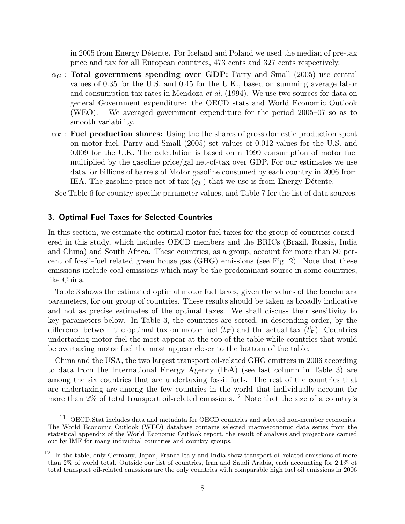in 2005 from Energy Détente. For Iceland and Poland we used the median of pre-tax price and tax for all European countries, 473 cents and 327 cents respectively.

- $\alpha_G$ : Total government spending over GDP: Parry and Small (2005) use central values of 0.35 for the U.S. and 0.45 for the U.K., based on summing average labor and consumption tax rates in Mendoza et al. (1994). We use two sources for data on general Government expenditure: the OECD stats and World Economic Outlook (WEO).<sup>11</sup> We averaged government expenditure for the period  $2005-07$  so as to smooth variability.
- $\alpha_F$ : Fuel production shares: Using the the shares of gross domestic production spent on motor fuel, Parry and Small (2005) set values of 0.012 values for the U.S. and 0.009 for the U.K. The calculation is based on n 1999 consumption of motor fuel multiplied by the gasoline price/gal net-of-tax over GDP. For our estimates we use data for billions of barrels of Motor gasoline consumed by each country in 2006 from IEA. The gasoline price net of tax  $(q_F)$  that we use is from Energy Détente.

See Table 6 for country-specific parameter values, and Table 7 for the list of data sources.

#### 3. Optimal Fuel Taxes for Selected Countries

In this section, we estimate the optimal motor fuel taxes for the group of countries considered in this study, which includes OECD members and the BRICs (Brazil, Russia, India and China) and South Africa. These countries, as a group, account for more than 80 percent of fossil-fuel related green house gas (GHG) emissions (see Fig. 2). Note that these emissions include coal emissions which may be the predominant source in some countries, like China.

Table 3 shows the estimated optimal motor fuel taxes, given the values of the benchmark parameters, for our group of countries. These results should be taken as broadly indicative and not as precise estimates of the optimal taxes. We shall discuss their sensitivity to key parameters below. In Table 3, the countries are sorted, in descending order, by the difference between the optimal tax on motor fuel  $(t_F)$  and the actual tax  $(t_F^0)$ . Countries undertaxing motor fuel the most appear at the top of the table while countries that would be overtaxing motor fuel the most appear closer to the bottom of the table.

China and the USA, the two largest transport oil-related GHG emitters in 2006 according to data from the International Energy Agency (IEA) (see last column in Table 3) are among the six countries that are undertaxing fossil fuels. The rest of the countries that are undertaxing are among the few countries in the world that individually account for more than  $2\%$  of total transport oil-related emissions.<sup>12</sup> Note that the size of a country's

 $11$  OECD. Stat includes data and metadata for OECD countries and selected non-member economies. The World Economic Outlook (WEO) database contains selected macroeconomic data series from the statistical appendix of the World Economic Outlook report, the result of analysis and projections carried out by IMF for many individual countries and country groups.

 $12$  In the table, only Germany, Japan, France Italy and India show transport oil related emissions of more than 2% of world total. Outside our list of countries, Iran and Saudi Arabia, each accounting for 2.1% ot total transport oil-related emissions are the only countries with comparable high fuel oil emissions in 2006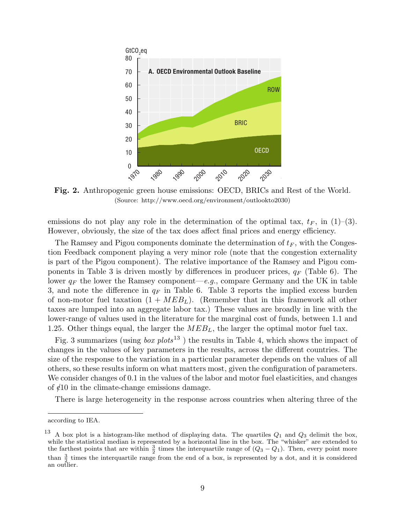

(Source: http://www.oecd.org/environment/outlookto $R@$ ) Fig. 2. Anthropogenic green house emissions: OECD, BRICs and Rest of the World.

emissions do not play any role in the determination of the optimal tax,  $t_F$ , in (1)–(3). However, obviously, the size of the tax does affect final prices and energy efficiency.

The Ramsey and Pigou components dominate the determination of  $t_F$ , with the Congestion Feedback component playing a very minor role (note that the congestion externality is part of the Pigou component). The relative importance of the Ramsey and Pigou components in Table 3 is driven mostly by differences in producer prices,  $q_F$  (Table 6). The lower  $q_F$  the lower the Ramsey component—e.g., compare Germany and the UK in table 3, and note the difference in  $q_F$  in Table 6. Table 3 reports the implied excess burden of non-motor fuel taxation  $(1 + MEB_L)$ . (Remember that in this framework all other taxes are lumped into an aggregate labor tax.) These values are broadly in line with the lower-range of values used in the literature for the marginal cost of funds, between 1.1 and 1.25. Other things equal, the larger the  $MEB_L$ , the larger the optimal motor fuel tax.

Fig. 3 summarizes (using *box plots*<sup>13</sup>) the results in Table 4, which shows the impact of changes in the values of key parameters in the results, across the different countries. The size of the response to the variation in a particular parameter depends on the values of all others, so these results inform on what matters most, given the configuration of parameters. We consider changes of 0.1 in the values of the labor and motor fuel elasticities, and changes of  $\ell$ 10 in the climate-change emissions damage.

**Figure 4.**<br>There is large heterogeneity in the response across countries when altering three of the

according to IEA.

<sup>&</sup>lt;sup>13</sup> A box plot is a histogram-like method of displaying data. The quartiles  $Q_1$  and  $Q_3$  delimit the box, while the statistical median is represented by a horizontal line in the box. The "whisker" are extended to the farthest points that are within  $\frac{3}{2}$  times the interquartile range of  $(Q_3 - Q_1)$ . Then, every point more than  $\frac{3}{2}$  times the interquartile range from the end of a box, is represented by a dot, and it is considered an outlier.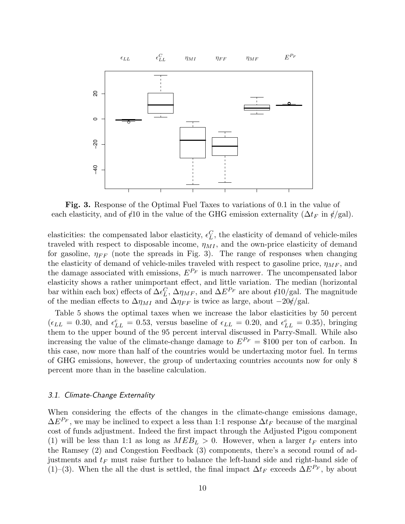

Fig. 3. Response of the Optimal Fuel Taxes to variations of 0.1 in the value of each elasticity, and of  $\ell$ 10 in the value of the GHG emission externality ( $\Delta t_F$  in  $\ell$ /gal).

elasticities: the compensated labor elasticity,  $\epsilon_L^C$ , the elasticity of demand of vehicle-miles traveled with respect to disposable income,  $\eta_{MI}$ , and the own-price elasticity of demand for gasoline,  $\eta_{FF}$  (note the spreads in Fig. 3). The range of responses when changing the elasticity of demand of vehicle-miles traveled with respect to gasoline price,  $\eta_{MF}$ , and the damage associated with emissions,  $E^{P_F}$  is much narrower. The uncompensated labor elasticity shows a rather unimportant effect, and little variation. The median (horizontal bar within each box) effects of  $\Delta \epsilon_L^C$ ,  $\Delta \eta_{MF}$ , and  $\Delta E^{P_F}$  are about  $\ell 10$ /gal. The magnitude of the median effects to  $\Delta \eta_{MI}$  and  $\Delta \eta_{FF}$  is twice as large, about  $-20\frac{\ell}{gal}$ .

Table 5 shows the optimal taxes when we increase the labor elasticities by 50 percent  $(\epsilon_{LL} = 0.30, \text{ and } \epsilon_{LL}^c = 0.53, \text{ versus baseline of } \epsilon_{LL} = 0.20, \text{ and } \epsilon_{LL}^c = 0.35), \text{ bringing}$ them to the upper bound of the 95 percent interval discussed in Parry-Small. While also increasing the value of the climate-change damage to  $E^{P_F} = $100$  per ton of carbon. In this case, now more than half of the countries would be undertaxing motor fuel. In terms of GHG emissions, however, the group of undertaxing countries accounts now for only 8 percent more than in the baseline calculation.

#### 3.1. Climate-Change Externality

When considering the effects of the changes in the climate-change emissions damage,  $\Delta E^{P_F}$ , we may be inclined to expect a less than 1:1 response  $\Delta t_F$  because of the marginal cost of funds adjustment. Indeed the first impact through the Adjusted Pigou component (1) will be less than 1:1 as long as  $MEB<sub>L</sub> > 0$ . However, when a larger  $t_F$  enters into the Ramsey (2) and Congestion Feedback (3) components, there's a second round of adjustments and  $t_F$  must raise further to balance the left-hand side and right-hand side of (1)–(3). When the all the dust is settled, the final impact  $\Delta t_F$  exceeds  $\Delta E^{P_F}$ , by about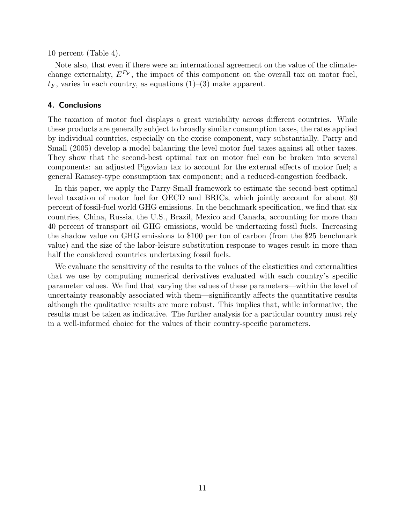10 percent (Table 4).

Note also, that even if there were an international agreement on the value of the climatechange externality,  $E^{P_F}$ , the impact of this component on the overall tax on motor fuel,  $t_F$ , varies in each country, as equations (1)–(3) make apparent.

### 4. Conclusions

The taxation of motor fuel displays a great variability across different countries. While these products are generally subject to broadly similar consumption taxes, the rates applied by individual countries, especially on the excise component, vary substantially. Parry and Small (2005) develop a model balancing the level motor fuel taxes against all other taxes. They show that the second-best optimal tax on motor fuel can be broken into several components: an adjusted Pigovian tax to account for the external effects of motor fuel; a general Ramsey-type consumption tax component; and a reduced-congestion feedback.

In this paper, we apply the Parry-Small framework to estimate the second-best optimal level taxation of motor fuel for OECD and BRICs, which jointly account for about 80 percent of fossil-fuel world GHG emissions. In the benchmark specification, we find that six countries, China, Russia, the U.S., Brazil, Mexico and Canada, accounting for more than 40 percent of transport oil GHG emissions, would be undertaxing fossil fuels. Increasing the shadow value on GHG emissions to \$100 per ton of carbon (from the \$25 benchmark value) and the size of the labor-leisure substitution response to wages result in more than half the considered countries undertaxing fossil fuels.

We evaluate the sensitivity of the results to the values of the elasticities and externalities that we use by computing numerical derivatives evaluated with each country's specific parameter values. We find that varying the values of these parameters—within the level of uncertainty reasonably associated with them—significantly affects the quantitative results although the qualitative results are more robust. This implies that, while informative, the results must be taken as indicative. The further analysis for a particular country must rely in a well-informed choice for the values of their country-specific parameters.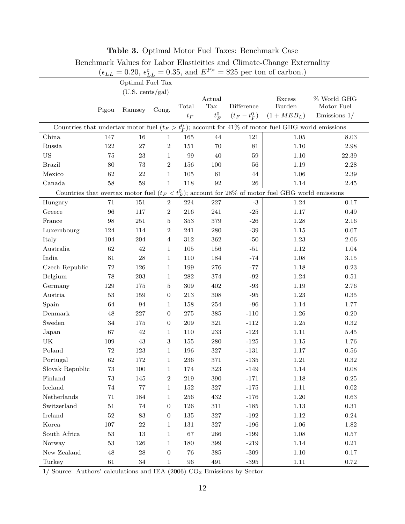| Dencimial N values for Dabor Plasticities and Chinate-Change PAternality<br>$(\epsilon_{LL} = 0.20, \epsilon_{LL}^c = 0.35, \text{ and } E^{P_F} = $25 \text{ per ton of carbon.})$ |                  |            |                  |              |                      |                 |                                                                                                        |                |  |  |  |
|-------------------------------------------------------------------------------------------------------------------------------------------------------------------------------------|------------------|------------|------------------|--------------|----------------------|-----------------|--------------------------------------------------------------------------------------------------------|----------------|--|--|--|
| Optimal Fuel Tax                                                                                                                                                                    |                  |            |                  |              |                      |                 |                                                                                                        |                |  |  |  |
|                                                                                                                                                                                     | (U.S. cents/gal) |            |                  |              |                      |                 |                                                                                                        |                |  |  |  |
|                                                                                                                                                                                     |                  |            |                  |              | Actual               |                 | Excess                                                                                                 | % World GHG    |  |  |  |
|                                                                                                                                                                                     | Pigou            | Ramsey     | Total<br>Cong.   |              | $\operatorname{Tax}$ | Difference      | Burden                                                                                                 | Motor Fuel     |  |  |  |
|                                                                                                                                                                                     |                  |            |                  | $t_{\cal F}$ | $t_F^0$              |                 | $(t_F - t_F^0)$ $(1 + MEB_L)$                                                                          | Emissions $1/$ |  |  |  |
|                                                                                                                                                                                     |                  |            |                  |              |                      |                 | Countries that undertax motor fuel $(t_F > t_F^0)$ ; account for 41% of motor fuel GHG world emissions |                |  |  |  |
| China                                                                                                                                                                               | 147              | $16\,$     | $\mathbf{1}$     | 165          | 44                   | 121             | 1.05                                                                                                   | 8.03           |  |  |  |
| Russia                                                                                                                                                                              | 122              | $27\,$     | $\,2$            | 151          | 70                   | 81              | 1.10                                                                                                   | 2.98           |  |  |  |
| <b>US</b>                                                                                                                                                                           | 75               | 23         | $\mathbf{1}$     | 99           | 40                   | 59              | 1.10                                                                                                   | 22.39          |  |  |  |
| <b>Brazil</b>                                                                                                                                                                       | 80               | 73         | $\overline{2}$   | 156          | 100                  | 56              | 1.19                                                                                                   | 2.28           |  |  |  |
| Mexico                                                                                                                                                                              | 82               | $22\,$     | $\mathbf{1}$     | 105          | 61                   | 44              | 1.06                                                                                                   | $2.39\,$       |  |  |  |
| Canada                                                                                                                                                                              | $58\,$           | 59         | $\mathbf{1}$     | 118          | $\boldsymbol{92}$    | ${\bf 26}$      | 1.14                                                                                                   | 2.45           |  |  |  |
| Countries that overtax motor fuel $(t_F < t_F^0)$ ; account for 28% of motor fuel GHG world emissions                                                                               |                  |            |                  |              |                      |                 |                                                                                                        |                |  |  |  |
| Hungary                                                                                                                                                                             | 71               | 151        | $\overline{2}$   | 224          | $227\,$              | $-3$            | $1.24\,$                                                                                               | 0.17           |  |  |  |
| Greece                                                                                                                                                                              | 96               | 117        | $\,2$            | 216          | 241                  | $-25$           | 1.17                                                                                                   | 0.49           |  |  |  |
| France                                                                                                                                                                              | 98               | $251\,$    | 5                | 353          | 379                  | $-26$           | 1.28                                                                                                   | 2.16           |  |  |  |
| Luxembourg                                                                                                                                                                          | 124              | 114        | $\boldsymbol{2}$ | 241          | $280\,$              | $-39$           | $1.15\,$                                                                                               | $0.07\,$       |  |  |  |
| Italy                                                                                                                                                                               | 104              | $\,204$    | $\overline{4}$   | 312          | 362                  | $-50$           | 1.23                                                                                                   | $2.06\,$       |  |  |  |
| Australia                                                                                                                                                                           | 62               | $42\,$     | $\mathbf{1}$     | 105          | 156                  | $-51$           | 1.12                                                                                                   | 1.04           |  |  |  |
| India                                                                                                                                                                               | 81               | ${\bf 28}$ | $\mathbf{1}$     | 110          | 184                  | $-74$           | 1.08                                                                                                   | $3.15\,$       |  |  |  |
| Czech Republic                                                                                                                                                                      | $72\,$           | 126        | 1                | 199          | 276                  | $-77$           | 1.18                                                                                                   | 0.23           |  |  |  |
| Belgium                                                                                                                                                                             | 78               | $\,203$    | 1                | $282\,$      | 374                  | $-92$           | 1.24                                                                                                   | 0.51           |  |  |  |
| Germany                                                                                                                                                                             | 129              | 175        | $\bf 5$          | 309          | 402                  | $-93$           | $1.19\,$                                                                                               | $2.76\,$       |  |  |  |
| Austria                                                                                                                                                                             | 53               | 159        | $\boldsymbol{0}$ | 213          | 308                  | $-95$           | 1.23                                                                                                   | $0.35\,$       |  |  |  |
| Spain                                                                                                                                                                               | 64               | 94         | $\mathbf{1}$     | 158          | $254\,$              | $-96$           | 1.14                                                                                                   | 1.77           |  |  |  |
| Denmark                                                                                                                                                                             | 48               | $227\,$    | $\boldsymbol{0}$ | $275\,$      | 385                  | $-110$          | $1.26\,$                                                                                               | $0.20\,$       |  |  |  |
| Sweden                                                                                                                                                                              | 34               | 175        | $\overline{0}$   | 209          | 321                  | $-112$          | 1.25                                                                                                   | 0.32           |  |  |  |
| Japan                                                                                                                                                                               | 67               | 42         | $\mathbf{1}$     | 110          | 233                  | $-123$          | 1.11                                                                                                   | 5.45           |  |  |  |
| $\ensuremath{\mathrm{UK}}\xspace$                                                                                                                                                   | 109              | $43\,$     | $\boldsymbol{3}$ | 155          | $280\,$              | $-125$          | 1.15                                                                                                   | 1.76           |  |  |  |
| Poland                                                                                                                                                                              | $72\,$           | 123        | $\mathbf{1}$     | 196          | 327                  | $-131$          | 1.17                                                                                                   | $0.56\,$       |  |  |  |
| ${\rm Portugal}$                                                                                                                                                                    | 62               | 172        | $\mathbf{1}$     | 236          | $371\,$              | $\textbf{-135}$ | 1.21                                                                                                   | 0.32           |  |  |  |
| Slovak Republic                                                                                                                                                                     | $73\,$           | 100        | $\mathbf{1}$     | 174          | $323\,$              | $-149$          | 1.14                                                                                                   | $0.08\,$       |  |  |  |
| Finland                                                                                                                                                                             | $73\,$           | 145        | $\boldsymbol{2}$ | 219          | 390                  | $-171$          | $1.18\,$                                                                                               | $0.25\,$       |  |  |  |
| Iceland                                                                                                                                                                             | $74\,$           | $77\,$     | $\mathbf{1}$     | 152          | 327                  | $-175$          | $1.11\,$                                                                                               | $\rm 0.02$     |  |  |  |
| Netherlands                                                                                                                                                                         | 71               | 184        | $\mathbf{1}$     | 256          | 432                  | $-176$          | $1.20\,$                                                                                               | $\,0.63\,$     |  |  |  |
| Switzerland                                                                                                                                                                         | 51               | $74\,$     | $\boldsymbol{0}$ | 126          | 311                  | $\mbox{-}185$   | $1.13\,$                                                                                               | $\rm 0.31$     |  |  |  |
| Ireland                                                                                                                                                                             | $52\,$           | 83         | $\boldsymbol{0}$ | 135          | $327\,$              | $-192$          | 1.12                                                                                                   | $0.24\,$       |  |  |  |
| Korea                                                                                                                                                                               | 107              | $22\,$     | $\mathbf{1}$     | 131          | $327\,$              | $-196$          | $1.06\,$                                                                                               | $1.82\,$       |  |  |  |
| South Africa                                                                                                                                                                        | $53\,$           | 13         | $\mathbf{1}$     | 67           | 266                  | $-199$          | 1.08                                                                                                   | $0.57\,$       |  |  |  |
| Norway                                                                                                                                                                              | $53\,$           | 126        | $\mathbf{1}$     | 180          | 399                  | $-219$          | 1.14                                                                                                   | $0.21\,$       |  |  |  |
| New Zealand                                                                                                                                                                         | $48\,$           | $28\,$     | $\boldsymbol{0}$ | $76\,$       | $385\,$              | $-309$          | $1.10\,$                                                                                               | $0.17\,$       |  |  |  |
| Turkey                                                                                                                                                                              | 61               | 34         | 1                | $96\,$       | 491                  | $\mbox{-}395$   | $1.11\,$                                                                                               | $0.72\,$       |  |  |  |

### Table 3. Optimal Motor Fuel Taxes: Benchmark Case

Benchmark Values for Labor Elasticities and Climate-Change Externality

 $1/$  Source: Authors' calculations and IEA (2006)  $\rm CO_2$  Emissions by Sector.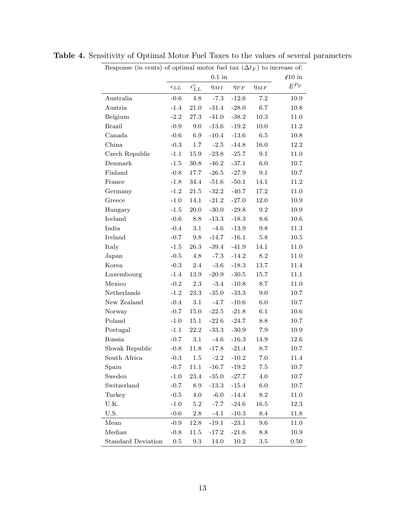| Response (in cents) of optimal motor fuel tax $(\Delta t_F)$ to increase of: |                                        |                   |             |             |             |           |  |  |  |
|------------------------------------------------------------------------------|----------------------------------------|-------------------|-------------|-------------|-------------|-----------|--|--|--|
|                                                                              | $0.1 \ \mathrm{in}$<br>$\sqrt{410}$ in |                   |             |             |             |           |  |  |  |
|                                                                              | $\epsilon_{LL}$                        | $\epsilon^c_{LL}$ | $\eta_{MI}$ | $\eta_{FF}$ | $\eta_{MF}$ | $E^{P_F}$ |  |  |  |
| Australia                                                                    | $-0.6$                                 | 4.8               | $-7.3$      | $-12.6$     | $7.2\,$     | 10.9      |  |  |  |
| Austria                                                                      | $-1.4$                                 | 21.0              | $-31.4$     | $-28.0$     | 6.7         | 10.8      |  |  |  |
| Belgium                                                                      | $-2.2$                                 | 27.3              | $-41.0$     | $-38.2$     | 10.3        | 11.0      |  |  |  |
| <b>Brazil</b>                                                                | $-0.9$                                 | 9.0               | $-13.6$     | $-19.2$     | $10.0\,$    | 11.2      |  |  |  |
| Canada                                                                       | $-0.6$                                 | 6.9               | $-10.4$     | $-13.6$     | 6.5         | 10.8      |  |  |  |
| China                                                                        | $-0.3$                                 | 1.7               | $-2.5$      | $-14.8$     | 16.0        | 12.2      |  |  |  |
| Czech Republic                                                               | $-1.1$                                 | 15.9              | $-23.8$     | $-25.7$     | 9.1         | 11.0      |  |  |  |
| Denmark                                                                      | $-1.5$                                 | 30.8              | $-46.2$     | $-37.1$     | 6.0         | 10.7      |  |  |  |
| Finland                                                                      | $-0.8$                                 | 17.7              | $-26.5$     | $-27.9$     | 9.1         | 10.7      |  |  |  |
| France                                                                       | $-1.8$                                 | 34.4              | $-51.6$     | $-50.1$     | 14.1        | 11.2      |  |  |  |
| Germany                                                                      | $-1.2$                                 | $21.5\,$          | $-32.2$     | $-40.7$     | 17.2        | 11.0      |  |  |  |
| Greece                                                                       | $-1.0$                                 | 14.1              | $-21.2$     | $-27.0$     | 12.0        | 10.9      |  |  |  |
| Hungary                                                                      | $-1.5$                                 | $20.0\,$          | $-30.0$     | $-29.8$     | $\ \, 9.2$  | 10.9      |  |  |  |
| Iceland                                                                      | $-0.6$                                 | 8.8               | $-13.3$     | $-18.3$     | 8.6         | 10.6      |  |  |  |
| India                                                                        | $-0.4$                                 | $3.1\,$           | $-4.6$      | $-13.9$     | $\,9.8$     | 11.3      |  |  |  |
| Ireland                                                                      | $-0.7$                                 | 9.8               | $-14.7$     | $-16.1$     | $5.8\,$     | 10.5      |  |  |  |
| Italy                                                                        | $-1.5$                                 | 26.3              | $-39.4$     | $-41.9$     | 14.1        | 11.0      |  |  |  |
| Japan                                                                        | $-0.5$                                 | $4.8\,$           | $-7.3$      | $-14.2$     | $8.2\,$     | 11.0      |  |  |  |
| Korea                                                                        | $-0.3$                                 | 2.4               | $-3.6$      | $-18.3$     | 13.7        | 11.4      |  |  |  |
| Luxembourg                                                                   | $-1.4$                                 | 13.9              | $-20.9$     | $-30.5$     | 15.7        | 11.1      |  |  |  |
| Mexico                                                                       | $-0.2$                                 | 2.3               | $-3.4$      | $-10.8$     | 8.7         | 11.0      |  |  |  |
| Netherlands                                                                  | $-1.2$                                 | 23.3              | $-35.0$     | $-33.3$     | 9.0         | 10.7      |  |  |  |
| New Zealand                                                                  | $-0.4$                                 | 3.1               | $-4.7$      | $-10.6$     | 6.0         | 10.7      |  |  |  |
| Norway                                                                       | $-0.7$                                 | 15.0              | $-22.5$     | $-21.8$     | 6.1         | 10.6      |  |  |  |
| Poland                                                                       | $-1.0$                                 | 15.1              | $-22.6$     | $-24.7$     | 8.8         | 10.7      |  |  |  |
| Portugal                                                                     | $-1.1$                                 | 22.2              | $-33.3$     | $-30.9$     | $7.9\,$     | 10.9      |  |  |  |
| Russia                                                                       | $-0.7$                                 | 3.1               | $-4.6$      | $-16.3$     | 14.9        | 12.6      |  |  |  |
| Slovak Republic                                                              | $-0.8$                                 | 11.8              | $-17.8$     | $-21.4$     | 8.7         | 10.7      |  |  |  |
| South Africa                                                                 | $-0.3$                                 | 1.5               | $-2.2$      | $-10.2$     | $7.0\,$     | 11.4      |  |  |  |
| Spain                                                                        | $-0.7$                                 | 11.1              | $-16.7$     | $-19.2$     | 7.5         | 10.7      |  |  |  |
| Sweden                                                                       | $-1.0$                                 | 23.4              | $-35.0$     | $-27.7$     | $4.0\,$     | $10.7\,$  |  |  |  |
| Switzerland                                                                  | $-0.7$                                 | $\!\!\!\!\!8.9$   | $-13.3$     | $-15.4$     | $6.0\,$     | 10.7      |  |  |  |
| Turkey                                                                       | $-0.5$                                 | $4.0\,$           | $-6.0$      | $-14.4$     | $8.2\,$     | 11.0      |  |  |  |
| U.K.                                                                         | $-1.0$                                 | $5.2\,$           | $-7.7$      | $-24.6$     | $16.5\,$    | 12.3      |  |  |  |
| U.S.                                                                         | $-0.6$                                 | $2.8\,$           | $-4.1$      | $-10.3$     | $8.4\,$     | 11.8      |  |  |  |
| Mean                                                                         | $-0.9$                                 | 12.8              | $-19.1$     | $-23.1$     | $9.6\,$     | 11.0      |  |  |  |
| Median                                                                       | $-0.8$                                 | $11.5\,$          | $-17.2$     | $-21.6$     | $8.8\,$     | 10.9      |  |  |  |
| <b>Standard Deviation</b>                                                    | $\rm 0.5$                              | 9.3               | 14.0        | $10.2\,$    | $3.5\,$     | 0.50      |  |  |  |

Table 4. Sensitivity of Optimal Motor Fuel Taxes to the values of several parameters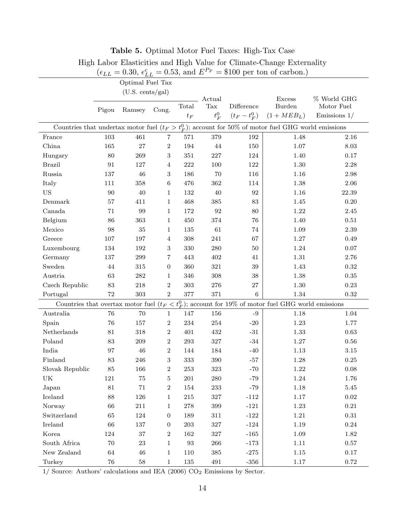|                 | $(\epsilon_{LL} = 0.30, \epsilon_{LL}^c = 0.53, \text{ and } E^{P_F} = $100 \text{ per ton of carbon.})$ |                                                                                                        |                  |                   |                                 |               |                                                                                                       |                              |  |  |  |  |
|-----------------|----------------------------------------------------------------------------------------------------------|--------------------------------------------------------------------------------------------------------|------------------|-------------------|---------------------------------|---------------|-------------------------------------------------------------------------------------------------------|------------------------------|--|--|--|--|
|                 | Optimal Fuel Tax                                                                                         |                                                                                                        |                  |                   |                                 |               |                                                                                                       |                              |  |  |  |  |
|                 |                                                                                                          | (U.S. cents/gal)                                                                                       |                  |                   | Actual                          |               | <b>Excess</b>                                                                                         | % World GHG                  |  |  |  |  |
|                 | Pigou                                                                                                    | Ramsey<br>Cong.                                                                                        |                  | Total<br>$t_F$    | $\operatorname{Tax}$<br>$t_F^0$ | Difference    | Burden<br>$(t_F - t_F^0)$ $(1 + MEB_L)$                                                               | Motor Fuel<br>Emissions $1/$ |  |  |  |  |
|                 |                                                                                                          | Countries that undertax motor fuel $(t_F > t_F^0)$ ; account for 50% of motor fuel GHG world emissions |                  |                   |                                 |               |                                                                                                       |                              |  |  |  |  |
| France          | 103                                                                                                      | 461                                                                                                    | $\overline{7}$   | 571               | 379                             | 192           | 1.48                                                                                                  | 2.16                         |  |  |  |  |
| China           | 165                                                                                                      | 27                                                                                                     | $\boldsymbol{2}$ | 194               | 44                              | 150           | 1.07                                                                                                  | 8.03                         |  |  |  |  |
| Hungary         | 80                                                                                                       | 269                                                                                                    | $\boldsymbol{3}$ | 351               | 227                             | 124           | 1.40                                                                                                  | 0.17                         |  |  |  |  |
| <b>Brazil</b>   | 91                                                                                                       | 127                                                                                                    | $\overline{4}$   | 222               | 100                             | 122           | 1.30                                                                                                  | 2.28                         |  |  |  |  |
| Russia          | 137                                                                                                      | 46                                                                                                     | $\sqrt{3}$       | 186               | 70                              | 116           | 1.16                                                                                                  | 2.98                         |  |  |  |  |
| Italy           | 111                                                                                                      | 358                                                                                                    | 6                | 476               | 362                             | 114           | 1.38                                                                                                  | 2.06                         |  |  |  |  |
| <b>US</b>       | 90                                                                                                       | 40                                                                                                     | $\mathbf{1}$     | 132               | 40                              | 92            | 1.16                                                                                                  | 22.39                        |  |  |  |  |
| Denmark         | 57                                                                                                       | 411                                                                                                    | $\mathbf{1}$     | 468               | 385                             | 83            | 1.45                                                                                                  | 0.20                         |  |  |  |  |
| Canada          | 71                                                                                                       | 99                                                                                                     | $\mathbf{1}$     | 172               | $\boldsymbol{92}$               | 80            | 1.22                                                                                                  | 2.45                         |  |  |  |  |
| Belgium         | 86                                                                                                       | 363                                                                                                    | $\mathbf{1}$     | 450               | 374                             | 76            | 1.40                                                                                                  | 0.51                         |  |  |  |  |
| Mexico          | 98                                                                                                       | 35                                                                                                     | $\mathbf{1}$     | 135               | 61                              | 74            | 1.09                                                                                                  | 2.39                         |  |  |  |  |
| Greece          | 107                                                                                                      | 197                                                                                                    | $\overline{4}$   | 308               | 241                             | 67            | 1.27                                                                                                  | 0.49                         |  |  |  |  |
| Luxembourg      | 134                                                                                                      | 192                                                                                                    | 3                | 330               | 280                             | 50            | 1.24                                                                                                  | 0.07                         |  |  |  |  |
| Germany         | 137                                                                                                      | $\,299$                                                                                                | $\overline{7}$   | 443               | 402                             | 41            | 1.31                                                                                                  | 2.76                         |  |  |  |  |
| Sweden          | 44                                                                                                       | 315                                                                                                    | $\boldsymbol{0}$ | 360               | 321                             | 39            | 1.43                                                                                                  | 0.32                         |  |  |  |  |
| Austria         | 63                                                                                                       | 282                                                                                                    | $\mathbf{1}$     | 346               | 308                             | 38            | 1.38                                                                                                  | 0.35                         |  |  |  |  |
| Czech Republic  | 83                                                                                                       | 218                                                                                                    | $\boldsymbol{2}$ | 303               | 276                             | 27            | 1.30                                                                                                  | 0.23                         |  |  |  |  |
| Portugal        | 72                                                                                                       | 303                                                                                                    | $\overline{2}$   | 377               | 371                             | 6             | 1.34                                                                                                  | 0.32                         |  |  |  |  |
|                 |                                                                                                          |                                                                                                        |                  |                   |                                 |               | Countries that overtax motor fuel $(t_F < t_F^0)$ ; account for 19% of motor fuel GHG world emissions |                              |  |  |  |  |
| Australia       | $76\,$                                                                                                   | $70\,$                                                                                                 | $\mathbf{1}$     | 147               | 156                             | $\mbox{-}9$   | 1.18                                                                                                  | 1.04                         |  |  |  |  |
| Spain           | 76                                                                                                       | 157                                                                                                    | $\boldsymbol{2}$ | 234               | $254\,$                         | $-20$         | 1.23                                                                                                  | 1.77                         |  |  |  |  |
| Netherlands     | 81                                                                                                       | 318                                                                                                    | $\sqrt{2}$       | 401               | 432                             | $-31$         | 1.33                                                                                                  | 0.63                         |  |  |  |  |
| Poland          | 83                                                                                                       | 209                                                                                                    | $\,2$            | 293               | 327                             | $-34$         | $1.27\,$                                                                                              | 0.56                         |  |  |  |  |
| India           | 97                                                                                                       | 46                                                                                                     | $\boldsymbol{2}$ | 144               | 184                             | $-40$         | 1.13                                                                                                  | 3.15                         |  |  |  |  |
| Finland         | 83                                                                                                       | 246                                                                                                    | 3                | 333               | 390                             | $-57$         | 1.28                                                                                                  | 0.25                         |  |  |  |  |
| Slovak Republic | 85                                                                                                       | 166                                                                                                    | $\,2$            | 253               | 323                             | $-70$         | $1.22\,$                                                                                              | $0.08\,$                     |  |  |  |  |
| UK              | $121\,$                                                                                                  | $75\,$                                                                                                 | $\overline{5}$   | $201\,$           | $280\,$                         | $-79$         | $1.24\,$                                                                                              | 1.76                         |  |  |  |  |
| Japan           | $81\,$                                                                                                   | $71\,$                                                                                                 | $\sqrt{2}$       | 154               | $233\,$                         | $\mbox{-} 79$ | $1.18\,$                                                                                              | 5.45                         |  |  |  |  |
| Iceland         | $88\,$                                                                                                   | 126                                                                                                    | $\mathbf{1}$     | $215\,$           | $327\,$                         | $-112$        | $1.17\,$                                                                                              | $0.02\,$                     |  |  |  |  |
| Norway          | 66                                                                                                       | $211\,$                                                                                                | $\mathbf{1}$     | $278\,$           | 399                             | $-121$        | $1.23\,$                                                                                              | $0.21\,$                     |  |  |  |  |
| Switzerland     | 65                                                                                                       | 124                                                                                                    | $\boldsymbol{0}$ | 189               | $311\,$                         | $-122$        | 1.21                                                                                                  | $\rm 0.31$                   |  |  |  |  |
| Ireland         | 66                                                                                                       | 137                                                                                                    | $\boldsymbol{0}$ | $203\,$           | $327\,$                         | $-124$        | $1.19\,$                                                                                              | $0.24\,$                     |  |  |  |  |
| Korea           | 124                                                                                                      | $37\,$                                                                                                 | $\,2$            | 162               | $327\,$                         | $\mbox{-}165$ | 1.09                                                                                                  | $1.82\,$                     |  |  |  |  |
| South Africa    | $70\,$                                                                                                   | 23                                                                                                     | $\mathbf{1}$     | $\boldsymbol{93}$ | $266\,$                         | $-173$        | $1.11\,$                                                                                              | $0.57\,$                     |  |  |  |  |
| New Zealand     | $64\,$                                                                                                   | $46\,$                                                                                                 | $\mathbf{1}$     | 110               | $385\,$                         | $-275$        | $1.15\,$                                                                                              | $0.17\,$                     |  |  |  |  |
| Turkey          | $76\,$                                                                                                   | $58\,$                                                                                                 | $\mathbf{1}$     | $135\,$           | 491                             | $-356$        | $1.17\,$                                                                                              | $0.72\,$                     |  |  |  |  |

Table 5. Optimal Motor Fuel Taxes: High-Tax Case High Labor Elasticities and High Value for Climate-Change Externality

 $1/$  Source: Authors' calculations and IEA (2006)  $\rm CO_2$  Emissions by Sector.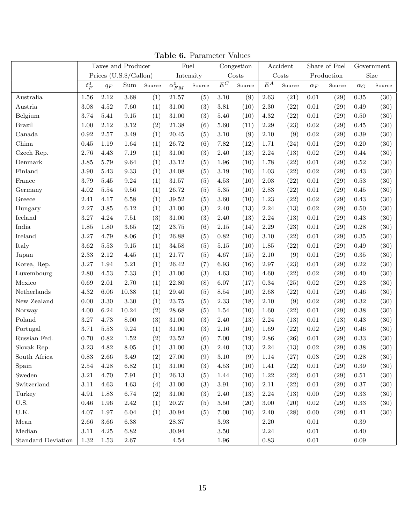|                           | Taxes and Producer     |          | Fuel      |        | Congestion      |        | Accident         |        | Share of Fuel   |        | Government |        |            |                         |
|---------------------------|------------------------|----------|-----------|--------|-----------------|--------|------------------|--------|-----------------|--------|------------|--------|------------|-------------------------|
|                           | Prices (U.S.\$/Gallon) |          | Intensity |        | Costs           |        | Costs            |        | Production      |        | Size       |        |            |                         |
|                           | $t_F^0$                | $q_F$    | Sum       | Source | $\alpha_{FM}^0$ | Source | $\overline{E^C}$ | Source | $\mathcal{E}^A$ | Source | $\alpha_F$ | Source | $\alpha_G$ | $\operatorname{Source}$ |
| Australia                 | 1.56                   | 2.12     | 3.68      | (1)    | $21.57\,$       | (5)    | 3.10             | (9)    | 2.63            | (21)   | 0.01       | (29)   | 0.35       | (30)                    |
| Austria                   | 3.08                   | 4.52     | 7.60      | (1)    | 31.00           | (3)    | 3.81             | (10)   | $2.30\,$        | (22)   | $0.01\,$   | (29)   | 0.49       | (30)                    |
| Belgium                   | 3.74                   | 5.41     | $9.15\,$  | (1)    | 31.00           | (3)    | 5.46             | (10)   | 4.32            | (22)   | 0.01       | (29)   | 0.50       | (30)                    |
| <b>Brazil</b>             | 1.00                   | 2.12     | 3.12      | (2)    | 21.38           | (6)    | 5.60             | (11)   | 2.29            | (23)   | 0.02       | (29)   | 0.45       | (30)                    |
| Canada                    | 0.92                   | 2.57     | 3.49      | (1)    | 20.45           | (5)    | 3.10             | (9)    | 2.10            | (9)    | 0.02       | (29)   | 0.39       | (30)                    |
| China                     | 0.45                   | 1.19     | 1.64      | (1)    | 26.72           | (6)    | 7.82             | (12)   | 1.71            | (24)   | 0.01       | (29)   | 0.20       | (30)                    |
| Czech Rep.                | 2.76                   | 4.43     | 7.19      | (1)    | 31.00           | (3)    | 2.40             | (13)   | 2.24            | (13)   | 0.02       | (29)   | 0.44       | (30)                    |
| Denmark                   | 3.85                   | 5.79     | 9.64      | (1)    | $33.12\,$       | (5)    | 1.96             | (10)   | 1.78            | (22)   | $0.01\,$   | (29)   | $\rm 0.52$ | (30)                    |
| Finland                   | 3.90                   | 5.43     | 9.33      | (1)    | 34.08           | (5)    | 3.19             | (10)   | 1.03            | (22)   | 0.02       | (29)   | 0.43       | (30)                    |
| France                    | 3.79                   | 5.45     | 9.24      | (1)    | 31.57           | (5)    | 4.53             | (10)   | $2.03\,$        | (22)   | 0.01       | (29)   | 0.53       | (30)                    |
| Germany                   | 4.02                   | 5.54     | 9.56      | (1)    | 26.72           | (5)    | 5.35             | (10)   | 2.83            | (22)   | 0.01       | (29)   | 0.45       | (30)                    |
| Greece                    | 2.41                   | 4.17     | 6.58      | (1)    | 39.52           | (5)    | 3.60             | (10)   | 1.23            | (22)   | 0.02       | (29)   | 0.43       | (30)                    |
| Hungary                   | 2.27                   | 3.85     | 6.12      | (1)    | 31.00           | (3)    | 2.40             | (13)   | 2.24            | (13)   | 0.02       | (29)   | 0.50       | (30)                    |
| Iceland                   | 3.27                   | 4.24     | $7.51\,$  | (3)    | $31.00\,$       | (3)    | 2.40             | (13)   | 2.24            | (13)   | $0.01\,$   | (29)   | 0.43       | (30)                    |
| India                     | 1.85                   | 1.80     | 3.65      | (2)    | 23.75           | (6)    | 2.15             | (14)   | 2.29            | (23)   | 0.01       | (29)   | 0.28       | (30)                    |
| Ireland                   | 3.27                   | 4.79     | 8.06      | (1)    | 26.88           | (5)    | 0.82             | (10)   | 3.10            | (22)   | 0.01       | (29)   | 0.35       | (30)                    |
| Italy                     | 3.62                   | 5.53     | 9.15      | (1)    | 34.58           | (5)    | 5.15             | (10)   | 1.85            | (22)   | 0.01       | (29)   | 0.49       | (30)                    |
| Japan                     | 2.33                   | 2.12     | 4.45      | (1)    | 21.77           | (5)    | 4.67             | (15)   | 2.10            | (9)    | 0.01       | (29)   | 0.35       | (30)                    |
| Korea, Rep.               | 3.27                   | 1.94     | $5.21\,$  | (1)    | 26.42           | (7)    | 6.93             | (16)   | 2.97            | (23)   | 0.01       | (29)   | 0.22       | (30)                    |
| Luxembourg                | 2.80                   | 4.53     | 7.33      | (1)    | 31.00           | (3)    | 4.63             | (10)   | 4.60            | (22)   | 0.02       | (29)   | 0.40       | (30)                    |
| Mexico                    | 0.69                   | 2.01     | 2.70      | (1)    | 22.80           | (8)    | 6.07             | (17)   | 0.34            | (25)   | 0.02       | (29)   | 0.23       | (30)                    |
| Netherlands               | 4.32                   | 6.06     | 10.38     | (1)    | 29.40           | (5)    | 8.54             | (10)   | 2.68            | (22)   | $0.01\,$   | (29)   | 0.46       | (30)                    |
| New Zealand               | 0.00                   | $3.30\,$ | $3.30\,$  | (1)    | 23.75           | (5)    | 2.33             | (18)   | 2.10            | (9)    | 0.02       | (29)   | 0.32       | (30)                    |
| Norway                    | 4.00                   | 6.24     | 10.24     | (2)    | 28.68           | (5)    | 1.54             | (10)   | 1.60            | (22)   | 0.01       | (29)   | 0.38       | (30)                    |
| Poland                    | 3.27                   | 4.73     | 8.00      | (3)    | 31.00           | (3)    | 2.40             | (13)   | 2.24            | (13)   | 0.01       | (13)   | 0.43       | (30)                    |
| Portugal                  | 3.71                   | 5.53     | 9.24      | (1)    | 31.00           | (3)    | 2.16             | (10)   | 1.69            | (22)   | 0.02       | (29)   | 0.46       | (30)                    |
| Russian Fed.              | 0.70                   | 0.82     | 1.52      | (2)    | 23.52           | (6)    | 7.00             | (19)   | 2.86            | (26)   | 0.01       | (29)   | 0.33       | (30)                    |
| Slovak Rep.               | 3.23                   | 4.82     | 8.05      | (1)    | 31.00           | (3)    | 2.40             | (13)   | 2.24            | (13)   | 0.02       | (29)   | $\rm 0.38$ | (30)                    |
| South Africa              | $0.83\,$               | $2.66\,$ | $3.49\,$  | (2)    | $27.00\,$       | (9)    | 3.10             | (9)    | 1.14            | (27)   | $\rm 0.03$ | (29)   | $0.28\,$   | (30)                    |
| Spain                     | $2.54\,$               | 4.28     | 6.82      | (1)    | 31.00           | (3)    | 4.53             | (10)   | 1.41            | (22)   | 0.01       | (29)   | $\,0.39\,$ | (30)                    |
| Sweden                    | $3.21\,$               | 4.70     | 7.91      | (1)    | 26.13           | (5)    | 1.44             | (10)   | 1.22            | (22)   | 0.01       | (29)   | 0.51       | (30)                    |
| Switzerland               | $3.11\,$               | 4.63     | 4.63      | (4)    | $31.00\,$       | (3)    | $3.91\,$         | (10)   | 2.11            | (22)   | 0.01       | (29)   | 0.37       | (30)                    |
| Turkey                    | $4.91\,$               | 1.83     | 6.74      | (2)    | 31.00           | (3)    | 2.40             | (13)   | 2.24            | (13)   | 0.00       | (29)   | 0.33       | (30)                    |
| U.S.                      | 0.46                   | 1.96     | 2.42      | (1)    | 20.27           | (5)    | 3.50             | (20)   | 3.00            | (20)   | 0.02       | (29)   | 0.33       | (30)                    |
| U.K.                      | 4.07                   | 1.97     | 6.04      | (1)    | 30.94           | (5)    | 7.00             | (10)   | 2.40            | (28)   | 0.00       | (29)   | 0.41       | (30)                    |
| Mean                      | $2.66\,$               | 3.66     | 6.38      |        | 28.37           |        | 3.93             |        | 2.20            |        | $0.01\,$   |        | $\,0.39\,$ |                         |
| Median                    | 3.11                   | 4.25     | 6.82      |        | 30.94           |        | 3.50             |        | 2.24            |        | $0.01\,$   |        | 0.40       |                         |
| <b>Standard Deviation</b> | 1.32                   | 1.53     | $2.67\,$  |        | $4.54\,$        |        | 1.96             |        | $\rm 0.83$      |        | $0.01\,$   |        | $0.09\,$   |                         |

Table 6. Parameter Values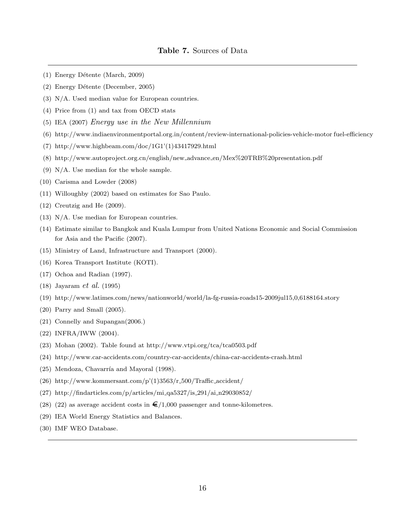#### Table 7. Sources of Data

- $(1)$  Energy Détente (March, 2009)
- (2) Energy Détente (December, 2005)
- (3) N/A. Used median value for European countries.
- (4) Price from (1) and tax from OECD stats
- (5) IEA (2007) Energy use in the New Millennium
- (6) http://www.indiaenvironmentportal.org.in/content/review-international-policies-vehicle-motor fuel-efficiency
- (7) http://www.highbeam.com/doc/1G1'(1)43417929.html
- (8) http://www.autoproject.org.cn/english/new advance en/Mex%20TRB%20presentation.pdf
- (9) N/A. Use median for the whole sample.
- (10) Carisma and Lowder (2008)
- (11) Willoughby (2002) based on estimates for Sao Paulo.
- (12) Creutzig and He (2009).
- (13) N/A. Use median for European countries.
- (14) Estimate similar to Bangkok and Kuala Lumpur from United Nations Economic and Social Commission for Asia and the Pacific (2007).
- (15) Ministry of Land, Infrastructure and Transport (2000).
- (16) Korea Transport Institute (KOTI).
- (17) Ochoa and Radian (1997).
- (18) Jayaram et al. (1995)
- (19) http://www.latimes.com/news/nationworld/world/la-fg-russia-roads15-2009jul15,0,6188164.story
- (20) Parry and Small (2005).
- (21) Connelly and Supangan(2006.)
- (22) INFRA/IWW (2004).
- (23) Mohan (2002). Table found at http://www.vtpi.org/tca/tca0503.pdf
- (24) http://www.car-accidents.com/country-car-accidents/china-car-accidents-crash.html
- (25) Mendoza, Chavarría and Mayoral (1998).
- (26) http://www.kommersant.com/p'(1)3563/r\_500/Traffic\_accident/
- (27) http://findarticles.com/p/articles/mi\_qa5327/is\_291/ai\_n29030852/
- (28) (22) as average accident costs in  $\epsilon/1,000$  passenger and tonne-kilometres.
- (29) IEA World Energy Statistics and Balances.
- (30) IMF WEO Database.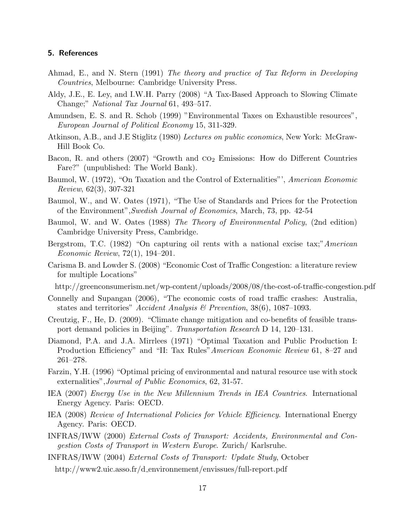#### 5. References

- Ahmad, E., and N. Stern (1991) The theory and practice of Tax Reform in Developing Countries, Melbourne: Cambridge University Press.
- Aldy, J.E., E. Ley, and I.W.H. Parry (2008) "A Tax-Based Approach to Slowing Climate Change;" National Tax Journal 61, 493–517.
- Amundsen, E. S. and R. Schob (1999) "Environmental Taxes on Exhaustible resources", European Journal of Political Economy 15, 311-329.
- Atkinson, A.B., and J.E Stiglitz (1980) Lectures on public economics, New York: McGraw-Hill Book Co.
- Bacon, R. and others  $(2007)$  "Growth and  $CO<sub>2</sub>$  Emissions: How do Different Countries Fare?" (unpublished: The World Bank).
- Baumol, W. (1972), "On Taxation and the Control of Externalities"', American Economic Review, 62(3), 307-321
- Baumol, W., and W. Oates (1971), "The Use of Standards and Prices for the Protection of the Environment",Swedish Journal of Economics, March, 73, pp. 42-54
- Baumol, W. and W. Oates (1988) The Theory of Environmental Policy, (2nd edition) Cambridge University Press, Cambridge.
- Bergstrom, T.C. (1982) "On capturing oil rents with a national excise tax;"American Economic Review, 72(1), 194–201.
- Carisma B. and Lowder S. (2008) "Economic Cost of Traffic Congestion: a literature review for multiple Locations"

http://greenconsumerism.net/wp-content/uploads/2008/08/the-cost-of-traffic-congestion.pdf

- Connelly and Supangan (2006), "The economic costs of road traffic crashes: Australia, states and territories" Accident Analysis & Prevention,  $38(6)$ ,  $1087-1093$ .
- Creutzig, F., He, D. (2009). "Climate change mitigation and co-benefits of feasible transport demand policies in Beijing". Transportation Research D 14, 120–131.
- Diamond, P.A. and J.A. Mirrlees (1971) "Optimal Taxation and Public Production I: Production Efficiency" and "II: Tax Rules" American Economic Review 61, 8–27 and 261–278.
- Farzin, Y.H. (1996) "Optimal pricing of environmental and natural resource use with stock externalities",Journal of Public Economics, 62, 31-57.
- IEA (2007) Energy Use in the New Millennium Trends in IEA Countries. International Energy Agency. Paris: OECD.
- IEA (2008) Review of International Policies for Vehicle Efficiency. International Energy Agency. Paris: OECD.
- INFRAS/IWW (2000) External Costs of Transport: Accidents, Environmental and Congestion Costs of Transport in Western Europe. Zurich/ Karlsruhe.
- INFRAS/IWW (2004) External Costs of Transport: Update Study, October
	- http://www2.uic.asso.fr/d environnement/envissues/full-report.pdf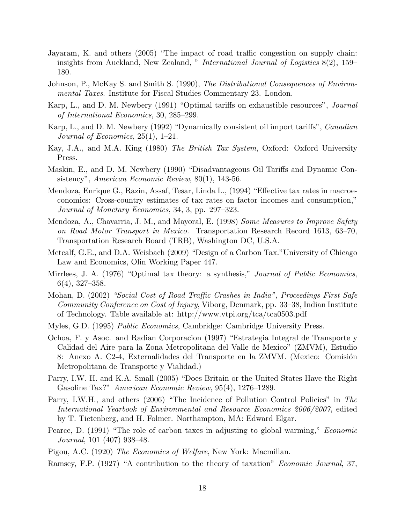- Jayaram, K. and others (2005) "The impact of road traffic congestion on supply chain: insights from Auckland, New Zealand, " International Journal of Logistics 8(2), 159– 180.
- Johnson, P., McKay S. and Smith S. (1990), The Distributional Consequences of Environmental Taxes. Institute for Fiscal Studies Commentary 23. London.
- Karp, L., and D. M. Newbery (1991) "Optimal tariffs on exhaustible resources", Journal of International Economics, 30, 285–299.
- Karp, L., and D. M. Newbery (1992) "Dynamically consistent oil import tariffs", Canadian Journal of Economics, 25(1), 1–21.
- Kay, J.A., and M.A. King (1980) The British Tax System, Oxford: Oxford University Press.
- Maskin, E., and D. M. Newbery (1990) "Disadvantageous Oil Tariffs and Dynamic Consistency", American Economic Review, 80(1), 143-56.
- Mendoza, Enrique G., Razin, Assaf, Tesar, Linda L., (1994) "Effective tax rates in macroeconomics: Cross-country estimates of tax rates on factor incomes and consumption," Journal of Monetary Economics, 34, 3, pp. 297–323.
- Mendoza, A., Chavarria, J. M., and Mayoral, E. (1998) Some Measures to Improve Safety on Road Motor Transport in Mexico. Transportation Research Record 1613, 63–70, Transportation Research Board (TRB), Washington DC, U.S.A.
- Metcalf, G.E., and D.A. Weisbach (2009) "Design of a Carbon Tax."University of Chicago Law and Economics, Olin Working Paper 447.
- Mirrlees, J. A. (1976) "Optimal tax theory: a synthesis," *Journal of Public Economics*, 6(4), 327–358.
- Mohan, D. (2002) "Social Cost of Road Traffic Crashes in India", Proceedings First Safe Community Conference on Cost of Injury, Viborg, Denmark, pp. 33–38, Indian Institute of Technology. Table available at: http://www.vtpi.org/tca/tca0503.pdf
- Myles, G.D. (1995) Public Economics, Cambridge: Cambridge University Press.
- Ochoa, F. y Asoc. and Radian Corporacion (1997) "Estrategia Integral de Transporte y Calidad del Aire para la Zona Metropolitana del Valle de Mexico" (ZMVM), Estudio 8: Anexo A. C2-4, Externalidades del Transporte en la ZMVM. (Mexico: Comisión Metropolitana de Transporte y Vialidad.)
- Parry, I.W. H. and K.A. Small (2005) "Does Britain or the United States Have the Right Gasoline Tax?" American Economic Review, 95(4), 1276–1289.
- Parry, I.W.H., and others (2006) "The Incidence of Pollution Control Policies" in The International Yearbook of Environmental and Resource Economics 2006/2007, edited by T. Tietenberg, and H. Folmer. Northampton, MA: Edward Elgar.
- Pearce, D. (1991) "The role of carbon taxes in adjusting to global warming," Economic Journal, 101 (407) 938–48.
- Pigou, A.C. (1920) The Economics of Welfare, New York: Macmillan.
- Ramsey, F.P. (1927) "A contribution to the theory of taxation" Economic Journal, 37,